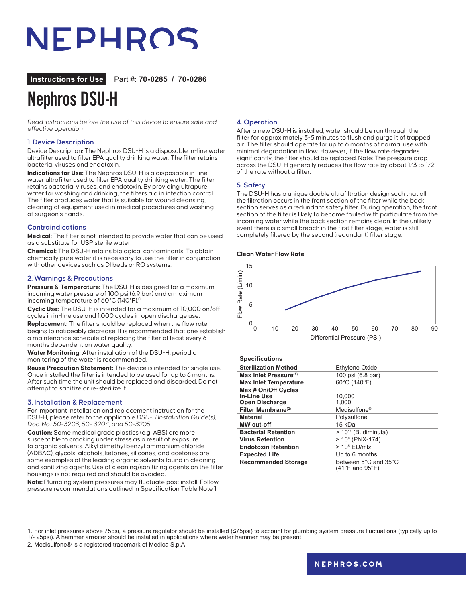## NEPHROS

**Instructions for Use** Part #: **70-0285 / 70-0286**

### Nephros DSU-H

Read instructions before the use of this device to ensure safe and effective operation

#### **1. Device Description**

Device Description: The Nephros DSU-H is a disposable in-line water ultrafilter used to filter EPA quality drinking water. The filter retains bacteria, viruses and endotoxin.

**Indications for Use:** The Nephros DSU-H is a disposable in-line water ultrafilter used to filter EPA quality drinking water. The filter retains bacteria, viruses, and endotoxin. By providing ultrapure water for washing and drinking, the filters aid in infection control. The filter produces water that is suitable for wound cleansing, cleaning of equipment used in medical procedures and washing of surgeon's hands.

#### **Contraindications**

**Medical:** The filter is not intended to provide water that can be used as a substitute for USP sterile water.

**Chemical:** The DSU-H retains biological contaminants. To obtain chemically pure water it is necessary to use the filter in conjunction with other devices such as DI beds or RO systems.

#### **2. Warnings & Precautions**

**Pressure & Temperature:** The DSU-H is designed for a maximum incoming water pressure of 100 psi (6.9 bar) and a maximum incoming temperature of 60°C (140°F).<sup>(1)</sup>

**Cyclic Use:** The DSU-H is intended for a maximum of 10,000 on/off cycles in in-line use and 1,000 cycles in open discharge use. **Replacement:** The filter should be replaced when the flow rate begins to noticeably decrease. It is recommended that one establish a maintenance schedule of replacing the filter at least every 6 months dependent on water quality.

**Water Monitoring:** After installation of the DSU-H, periodic monitoring of the water is recommended.

**Reuse Precaution Statement:** The device is intended for single use. Once installed the filter is intended to be used for up to 6 months. After such time the unit should be replaced and discarded. Do not attempt to sanitize or re-sterilize it.

#### **3. Installation & Replacement**

For important installation and replacement instruction for the DSU-H, please refer to the applicable DSU-H Installation Guide(s), Doc. No.: 50-3203, 50- 3204, and 50-3205.

**Caution:** Some medical grade plastics (e.g. ABS) are more susceptible to cracking under stress as a result of exposure to organic solvents. Alkyl dimethyl benzyl ammonium chloride (ADBAC), glycols, alcohols, ketones, silicones, and acetones are some examples of the leading organic solvents found in cleaning and sanitizing agents. Use of cleaning/sanitizing agents on the filter housings is not required and should be avoided.

**Note:** Plumbing system pressures may fluctuate post install. Follow pressure recommendations outlined in Specification Table Note 1.

#### **4. Operation**

After a new DSU-H is installed, water should be run through the filter for approximately 3-5 minutes to flush and purge it of trapped air. The filter should operate for up to 6 months of normal use with minimal degradation in flow. However, if the flow rate degrades significantly, the filter should be replaced. Note: The pressure drop across the DSU-H generally reduces the flow rate by about 1⁄3 to 1⁄2 of the rate without a filter.

#### **5. Safety**

The DSU-H has a unique double ultrafiltration design such that all the filtration occurs in the front section of the filter while the back section serves as a redundant safety filter. During operation, the front section of the filter is likely to become fouled with particulate from the incoming water while the back section remains clean. In the unlikely event there is a small breach in the first filter stage, water is still completely filtered by the second (redundant) filter stage.

#### **Clean Water Flow Rate**



#### **Specifications**

| <b>Sterilization Method</b>       | Ethylene Oxide                                              |
|-----------------------------------|-------------------------------------------------------------|
| Max Inlet Pressure <sup>(1)</sup> | 100 psi (6.8 bar)                                           |
| <b>Max Inlet Temperature</b>      | 60°C (140°F)                                                |
| Max # On/Off Cycles               |                                                             |
| In-Line Use                       | 10.000                                                      |
| <b>Open Discharge</b>             | 1.000                                                       |
| Filter Membrane <sup>(2)</sup>    | Medisulfone <sup>®</sup>                                    |
| <b>Material</b>                   | Polysulfone                                                 |
| <b>MW</b> cut-off                 | 15 kDa                                                      |
| <b>Bacterial Retention</b>        | $> 10^{11}$ (B. diminuta)                                   |
| <b>Virus Retention</b>            | $> 108$ (PhiX-174)                                          |
| <b>Endotoxin Retention</b>        | $> 105$ EU/mlz                                              |
| <b>Expected Life</b>              | Up to 6 months                                              |
| <b>Recommended Storage</b>        | Between 5°C and 35°C<br>$(41^{\circ}$ F and $95^{\circ}$ F) |

1. For inlet pressures above 75psi, a pressure regulator should be installed (≤75psi) to account for plumbing system pressure fluctuations (typically up to +/- 25psi). A hammer arrester should be installed in applications where water hammer may be present.

2. Medisulfone® is a registered trademark of Medica S.p.A.